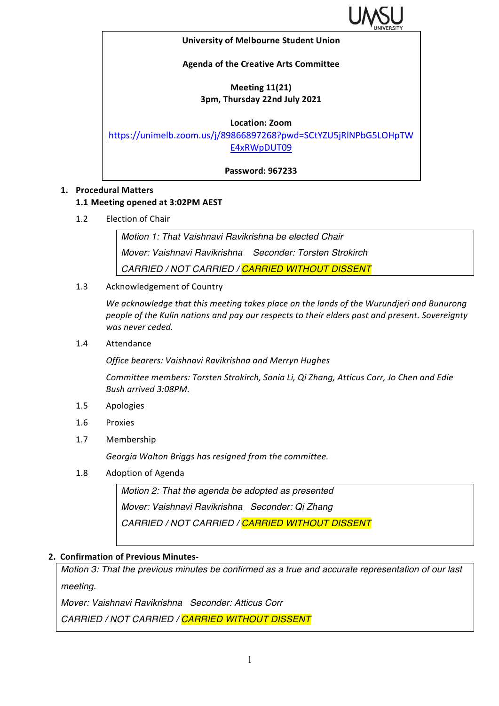

#### **University of Melbourne Student Union**

### **Agenda of the Creative Arts Committee**

# **Meeting 11(21) 3pm, Thursday 22nd July 2021**

#### **Location: Zoom**

https://unimelb.zoom.us/j/89866897268?pwd=SCtYZU5jRlNPbG5LOHpTW E4xRWpDUT09

**Password: 967233**

### **1. Procedural Matters**

### **1.1 Meeting opened at 3:02PM AEST**

1.2 Election of Chair

*Motion 1: That Vaishnavi Ravikrishna be elected Chair Mover: Vaishnavi Ravikrishna Seconder: Torsten Strokirch CARRIED / NOT CARRIED / CARRIED WITHOUT DISSENT*

1.3 Acknowledgement of Country

We acknowledge that this meeting takes place on the lands of the Wurundjeri and Bunurong people of the Kulin nations and pay our respects to their elders past and present. Sovereignty was never ceded.

1.4 Attendance

*Office bearers: Vaishnavi Ravikrishna and Merryn Hughes*

*Committee members: Torsten Strokirch, Sonia Li, Qi Zhang, Atticus Corr, Jo Chen and Edie Bush arrived 3:08PM.* 

- 1.5 Apologies
- 1.6 Proxies
- 1.7 Membership

Georgia Walton Briggs has resigned from the committee.

1.8 Adoption of Agenda

*Motion 2: That the agenda be adopted as presented Mover: Vaishnavi Ravikrishna Seconder: Qi Zhang CARRIED / NOT CARRIED / CARRIED WITHOUT DISSENT*

### **2. Confirmation of Previous Minutes-**

*Motion 3: That the previous minutes be confirmed as a true and accurate representation of our last meeting.*

*Mover: Vaishnavi Ravikrishna Seconder: Atticus Corr*

*CARRIED / NOT CARRIED / CARRIED WITHOUT DISSENT*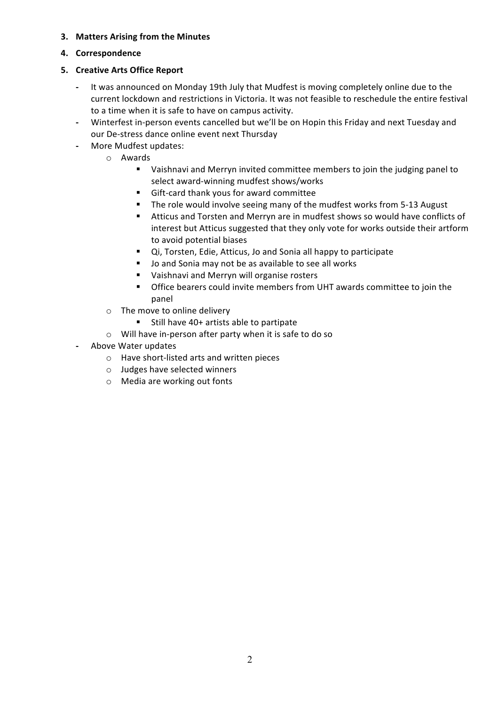## **3.** Matters Arising from the Minutes

## **4. Correspondence**

# **5. Creative Arts Office Report**

- It was announced on Monday 19th July that Mudfest is moving completely online due to the current lockdown and restrictions in Victoria. It was not feasible to reschedule the entire festival to a time when it is safe to have on campus activity.
- Winterfest in-person events cancelled but we'll be on Hopin this Friday and next Tuesday and our De-stress dance online event next Thursday
- More Mudfest updates:
	- o Awards
		- Vaishnavi and Merryn invited committee members to join the judging panel to select award-winning mudfest shows/works
		- Gift-card thank yous for award committee
		- **•** The role would involve seeing many of the mudfest works from 5-13 August
		- Atticus and Torsten and Merryn are in mudfest shows so would have conflicts of interest but Atticus suggested that they only vote for works outside their artform to avoid potential biases
		- Qi, Torsten, Edie, Atticus, Jo and Sonia all happy to participate
		- Jo and Sonia may not be as available to see all works
		- Vaishnavi and Merryn will organise rosters
		- **•** Office bearers could invite members from UHT awards committee to join the panel
	- $\circ$  The move to online delivery
		- Still have 40+ artists able to partipate
	- $\circ$  Will have in-person after party when it is safe to do so
- **-** Above Water updates
	- o Have short-listed arts and written pieces
	- o Judges have selected winners
	- $\circ$  Media are working out fonts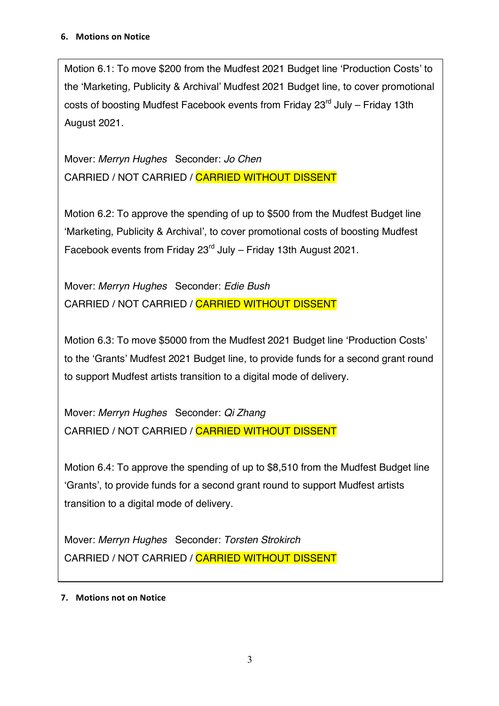Motion 6.1: To move \$200 from the Mudfest 2021 Budget line 'Production Costs' to the 'Marketing, Publicity & Archival' Mudfest 2021 Budget line, to cover promotional costs of boosting Mudfest Facebook events from Friday 23<sup>rd</sup> July – Friday 13th August 2021.

Mover: *Merryn Hughes* Seconder: *Jo Chen* CARRIED / NOT CARRIED / CARRIED WITHOUT DISSENT

Motion 6.2: To approve the spending of up to \$500 from the Mudfest Budget line 'Marketing, Publicity & Archival', to cover promotional costs of boosting Mudfest Facebook events from Friday  $23<sup>rd</sup>$  July – Friday 13th August 2021.

Mover: *Merryn Hughes* Seconder: *Edie Bush* CARRIED / NOT CARRIED / CARRIED WITHOUT DISSENT

Motion 6.3: To move \$5000 from the Mudfest 2021 Budget line 'Production Costs' to the 'Grants' Mudfest 2021 Budget line, to provide funds for a second grant round to support Mudfest artists transition to a digital mode of delivery.

Mover: *Merryn Hughes* Seconder: *Qi Zhang* CARRIED / NOT CARRIED / CARRIED WITHOUT DISSENT

Motion 6.4: To approve the spending of up to \$8,510 from the Mudfest Budget line 'Grants', to provide funds for a second grant round to support Mudfest artists transition to a digital mode of delivery.

Mover: *Merryn Hughes* Seconder: *Torsten Strokirch* CARRIED / NOT CARRIED / CARRIED WITHOUT DISSENT

# **7.** Motions not on Notice